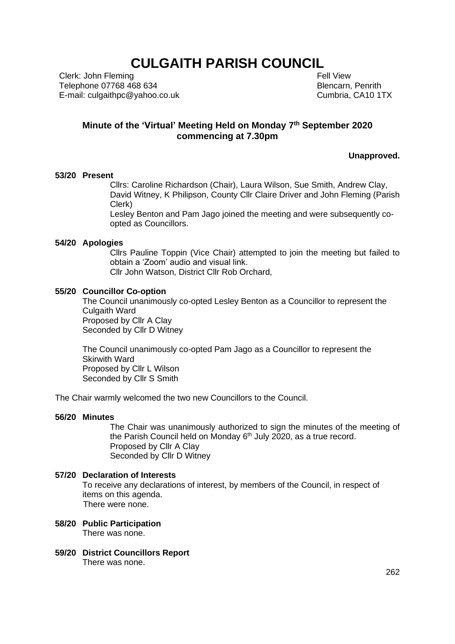# **CULGAITH PARISH COUNCIL**

Clerk: John Fleming Telephone 07768 468 634 E-mail: culgaithpc@yahoo.co.uk  Fell View Blencarn, Penrith Cumbria, CA10 1TX

## **Minute of the 'Virtual' Meeting Held on Monday 7 th September 2020 commencing at 7.30pm**

**Unapproved.**

#### **53/20 Present**

Cllrs: Caroline Richardson (Chair), Laura Wilson, Sue Smith, Andrew Clay, David Witney, K Philipson, County Cllr Claire Driver and John Fleming (Parish Clerk)

Lesley Benton and Pam Jago joined the meeting and were subsequently coopted as Councillors.

#### **54/20 Apologies**

Cllrs Pauline Toppin (Vice Chair) attempted to join the meeting but failed to obtain a 'Zoom' audio and visual link. Cllr John Watson, District Cllr Rob Orchard,

## **55/20 Councillor Co-option**

The Council unanimously co-opted Lesley Benton as a Councillor to represent the Culgaith Ward Proposed by Cllr A Clay Seconded by Cllr D Witney

The Council unanimously co-opted Pam Jago as a Councillor to represent the Skirwith Ward Proposed by Cllr L Wilson Seconded by Cllr S Smith

The Chair warmly welcomed the two new Councillors to the Council.

#### **56/20 Minutes**

The Chair was unanimously authorized to sign the minutes of the meeting of the Parish Council held on Monday  $6<sup>th</sup>$  July 2020, as a true record. Proposed by Cllr A Clay Seconded by Cllr D Witney

#### **57/20 Declaration of Interests**

To receive any declarations of interest, by members of the Council, in respect of items on this agenda. There were none.

- **58/20 Public Participation** There was none.
- **59/20 District Councillors Report** There was none.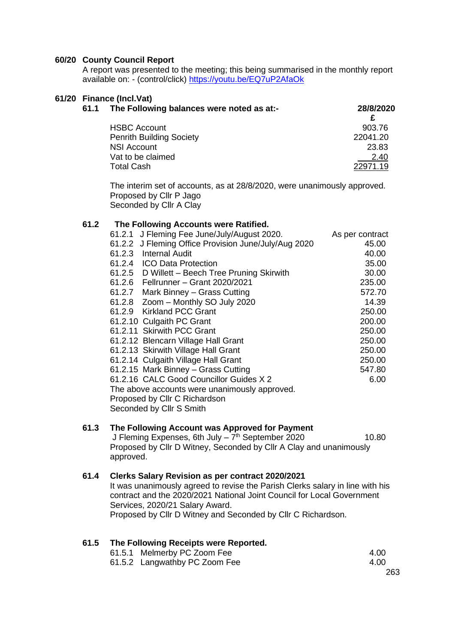#### **60/20 County Council Report**

A report was presented to the meeting; this being summarised in the monthly report available on: - (control/click)<https://youtu.be/EQ7uP2AfaOk>

#### **61/20 Finance (Incl.Vat)**

| 61.1 | The Following balances were noted as at:- | 28/8/2020 |
|------|-------------------------------------------|-----------|
|      |                                           |           |
|      | <b>HSBC Account</b>                       | 903.76    |
|      | <b>Penrith Building Society</b>           | 22041.20  |
|      | <b>NSI Account</b>                        | 23.83     |
|      | Vat to be claimed                         | 2.40      |
|      | <b>Total Cash</b>                         | 22971.19  |

The interim set of accounts, as at 28/8/2020, were unanimously approved. Proposed by Cllr P Jago Seconded by Cllr A Clay

#### **61.2 The Following Accounts were Ratified.**

| 61.2.1 J Fleming Fee June/July/August 2020.          | As per contract |
|------------------------------------------------------|-----------------|
| 61.2.2 J Fleming Office Provision June/July/Aug 2020 | 45.00           |
| 61.2.3 Internal Audit                                | 40.00           |
| 61.2.4 ICO Data Protection                           | 35.00           |
| 61.2.5 D Willett - Beech Tree Pruning Skirwith       | 30.00           |
| 61.2.6 Fellrunner – Grant 2020/2021                  | 235.00          |
| Mark Binney - Grass Cutting<br>61.2.7                | 572.70          |
| 61.2.8 Zoom - Monthly SO July 2020                   | 14.39           |
| 61.2.9 Kirkland PCC Grant                            | 250.00          |
| 61.2.10 Culgaith PC Grant                            | 200.00          |
| 61.2.11 Skirwith PCC Grant                           | 250.00          |
| 61.2.12 Blencarn Village Hall Grant                  | 250.00          |
| 61.2.13 Skirwith Village Hall Grant                  | 250.00          |
| 61.2.14 Culgaith Village Hall Grant                  | 250.00          |
| 61.2.15 Mark Binney - Grass Cutting                  | 547.80          |
| 61.2.16 CALC Good Councillor Guides X 2              | 6.00            |
| The above accounts were unanimously approved.        |                 |
| Proposed by Cllr C Richardson                        |                 |
| Seconded by Cllr S Smith                             |                 |

## **61.3 The Following Account was Approved for Payment**

J Fleming Expenses, 6th July – 7<sup>th</sup> September 2020 **10.80** Proposed by Cllr D Witney, Seconded by Cllr A Clay and unanimously approved.

#### **61.4 Clerks Salary Revision as per contract 2020/2021**

It was unanimously agreed to revise the Parish Clerks salary in line with his contract and the 2020/2021 National Joint Council for Local Government Services, 2020/21 Salary Award. Proposed by Cllr D Witney and Seconded by Cllr C Richardson.

### **61.5 The Following Receipts were Reported.**

| 61.5.1 Melmerby PC Zoom Fee   | 4.00 |
|-------------------------------|------|
| 61.5.2 Langwathby PC Zoom Fee | 4.00 |
|                               | 263  |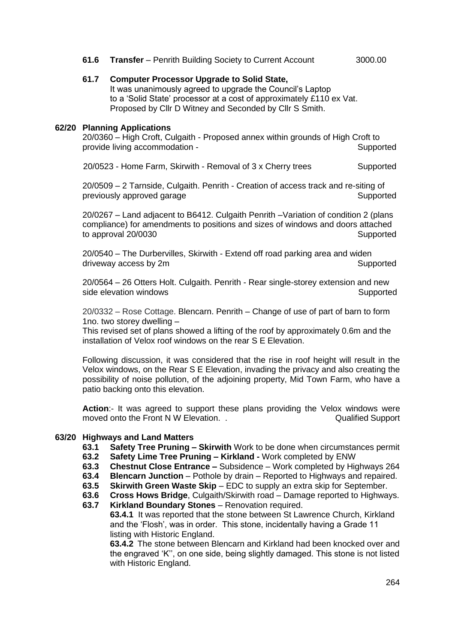### **61.6 Transfer** – Penrith Building Society to Current Account 3000.00

## **61.7 Computer Processor Upgrade to Solid State,**

It was unanimously agreed to upgrade the Council's Laptop to a 'Solid State' processor at a cost of approximately £110 ex Vat. Proposed by Cllr D Witney and Seconded by Cllr S Smith.

#### **62/20 Planning Applications**

20/0360 – High Croft, Culgaith - Proposed annex within grounds of High Croft to provide living accommodation - Supported

20/0523 - Home Farm, Skirwith - Removal of 3 x Cherry trees Supported

20/0509 – 2 Tarnside, Culgaith. Penrith - Creation of access track and re-siting of previously approved garage strategies and supported Supported

20/0267 – Land adjacent to B6412. Culgaith Penrith –Variation of condition 2 (plans compliance) for amendments to positions and sizes of windows and doors attached to approval 20/0030 Supported

20/0540 – The Durbervilles, Skirwith - Extend off road parking area and widen driveway access by 2m Supported Supported

20/0564 – 26 Otters Holt. Culgaith. Penrith - Rear single-storey extension and new side elevation windows **Supported** Supported

20/0332 – Rose Cottage. Blencarn. Penrith – Change of use of part of barn to form 1no. two storey dwelling –

This revised set of plans showed a lifting of the roof by approximately 0.6m and the installation of Velox roof windows on the rear S E Elevation.

Following discussion, it was considered that the rise in roof height will result in the Velox windows, on the Rear S E Elevation, invading the privacy and also creating the possibility of noise pollution, of the adjoining property, Mid Town Farm, who have a patio backing onto this elevation.

**Action**:- It was agreed to support these plans providing the Velox windows were moved onto the Front N W Elevation. . The Contract of Cualified Support in the Contract of Cualified Support

#### **63/20 Highways and Land Matters**

- **63.1 Safety Tree Pruning – Skirwith** Work to be done when circumstances permit
- **63.2 Safety Lime Tree Pruning – Kirkland -** Work completed by ENW
- **63.3 Chestnut Close Entrance –** Subsidence Work completed by Highways 264
- **63.4 Blencarn Junction** Pothole by drain Reported to Highways and repaired.
- **63.5 Skirwith Green Waste Skip** EDC to supply an extra skip for September.
- **63.6 Cross Hows Bridge**, Culgaith/Skirwith road Damage reported to Highways.
- **63.7 Kirkland Boundary Stones** Renovation required.

**63.4.1** It was reported that the stone between St Lawrence Church, Kirkland and the 'Flosh', was in order. This stone, incidentally having a Grade 11 listing with Historic England.

**63.4.2** The stone between Blencarn and Kirkland had been knocked over and the engraved 'K'', on one side, being slightly damaged. This stone is not listed with Historic England.